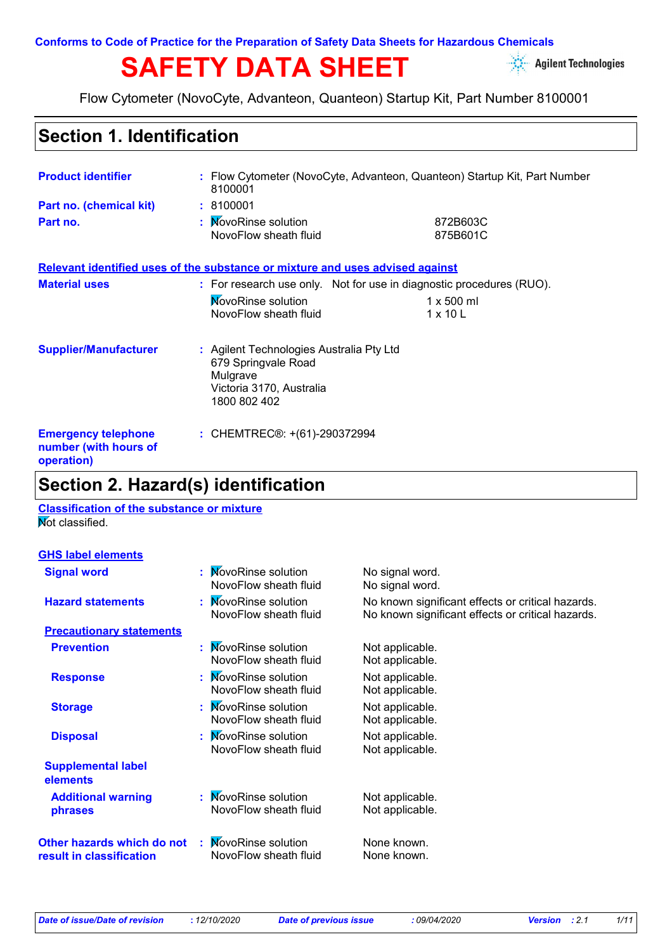**Conforms to Code of Practice for the Preparation of Safety Data Sheets for Hazardous Chemicals**

# SAFETY DATA SHEET **Agilent Technologies**



Flow Cytometer (NovoCyte, Advanteon, Quanteon) Startup Kit, Part Number 8100001

### **Section 1. Identification**

| <b>Product identifier</b>                                         | 8100001                                                                                                                 | : Flow Cytometer (NovoCyte, Advanteon, Quanteon) Startup Kit, Part Number                                    |  |
|-------------------------------------------------------------------|-------------------------------------------------------------------------------------------------------------------------|--------------------------------------------------------------------------------------------------------------|--|
| Part no. (chemical kit)<br>Part no.                               | : 8100001<br>: MovoRinse solution<br>NovoFlow sheath fluid                                                              | 872B603C<br>875B601C                                                                                         |  |
|                                                                   | Relevant identified uses of the substance or mixture and uses advised against                                           |                                                                                                              |  |
| <b>Material uses</b>                                              | <b>NovoRinse solution</b><br>NovoFlow sheath fluid                                                                      | : For research use only. Not for use in diagnostic procedures (RUO).<br>$1 \times 500$ ml<br>$1 \times 10$ L |  |
| <b>Supplier/Manufacturer</b>                                      | : Agilent Technologies Australia Pty Ltd<br>679 Springvale Road<br>Mulgrave<br>Victoria 3170, Australia<br>1800 802 402 |                                                                                                              |  |
| <b>Emergency telephone</b><br>number (with hours of<br>operation) | : CHEMTREC®: +(61)-290372994                                                                                            |                                                                                                              |  |

### **Section 2. Hazard(s) identification**

#### **Classification of the substance or mixture Not classified.**

| <b>GHS label elements</b> |
|---------------------------|
|---------------------------|

| <b>Signal word</b>                                     | : MovoRinse solution<br>NovoFlow sheath fluid | No signal word.<br>No signal word.                                                                     |
|--------------------------------------------------------|-----------------------------------------------|--------------------------------------------------------------------------------------------------------|
| <b>Hazard statements</b>                               | : MovoRinse solution<br>NovoFlow sheath fluid | No known significant effects or critical hazards.<br>No known significant effects or critical hazards. |
| <b>Precautionary statements</b>                        |                                               |                                                                                                        |
| <b>Prevention</b>                                      | : MovoRinse solution<br>NovoFlow sheath fluid | Not applicable.<br>Not applicable.                                                                     |
| <b>Response</b>                                        | : MovoRinse solution<br>NovoFlow sheath fluid | Not applicable.<br>Not applicable.                                                                     |
| <b>Storage</b>                                         | : MovoRinse solution<br>NovoFlow sheath fluid | Not applicable.<br>Not applicable.                                                                     |
| <b>Disposal</b>                                        | : MovoRinse solution<br>NovoFlow sheath fluid | Not applicable.<br>Not applicable.                                                                     |
| <b>Supplemental label</b><br>elements                  |                                               |                                                                                                        |
| <b>Additional warning</b><br>phrases                   | : MovoRinse solution<br>NovoFlow sheath fluid | Not applicable.<br>Not applicable.                                                                     |
| Other hazards which do not<br>result in classification | : MovoRinse solution<br>NovoFlow sheath fluid | None known.<br>None known.                                                                             |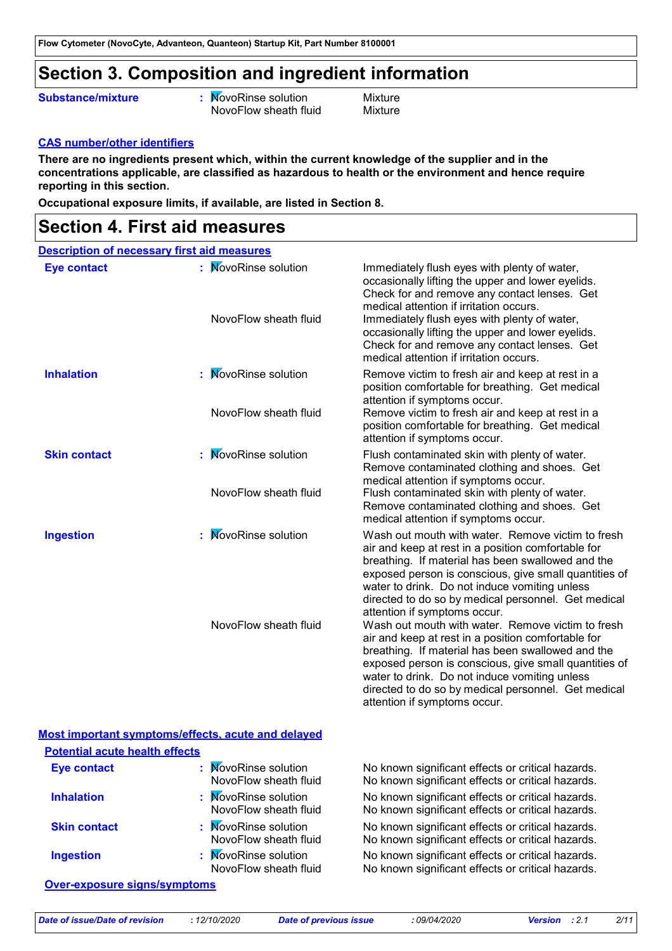### **Section 3. Composition and ingredient information**

#### **Substance/mixture**

**:** MovoRinse solution Mixture NovoFlow sheath fluid Mixture

#### **CAS number/other identifiers**

**There are no ingredients present which, within the current knowledge of the supplier and in the concentrations applicable, are classified as hazardous to health or the environment and hence require reporting in this section.**

**Occupational exposure limits, if available, are listed in Section 8.**

### **Section 4. First aid measures**

| <b>Description of necessary first aid measures</b> |                                                    |                                                                                                                                                                                                                                                                                                                                                                                                                                                                                                                                                                                                                                                                                                                                |
|----------------------------------------------------|----------------------------------------------------|--------------------------------------------------------------------------------------------------------------------------------------------------------------------------------------------------------------------------------------------------------------------------------------------------------------------------------------------------------------------------------------------------------------------------------------------------------------------------------------------------------------------------------------------------------------------------------------------------------------------------------------------------------------------------------------------------------------------------------|
| <b>Eye contact</b>                                 | : MovoRinse solution<br>NovoFlow sheath fluid      | Immediately flush eyes with plenty of water,<br>occasionally lifting the upper and lower eyelids.<br>Check for and remove any contact lenses. Get<br>medical attention if irritation occurs.<br>Immediately flush eyes with plenty of water,<br>occasionally lifting the upper and lower eyelids.<br>Check for and remove any contact lenses. Get<br>medical attention if irritation occurs.                                                                                                                                                                                                                                                                                                                                   |
| <b>Inhalation</b>                                  | <b>NovoRinse solution</b><br>NovoFlow sheath fluid | Remove victim to fresh air and keep at rest in a<br>position comfortable for breathing. Get medical<br>attention if symptoms occur.<br>Remove victim to fresh air and keep at rest in a<br>position comfortable for breathing. Get medical<br>attention if symptoms occur.                                                                                                                                                                                                                                                                                                                                                                                                                                                     |
| <b>Skin contact</b>                                | <b>NovoRinse solution</b><br>NovoFlow sheath fluid | Flush contaminated skin with plenty of water.<br>Remove contaminated clothing and shoes. Get<br>medical attention if symptoms occur.<br>Flush contaminated skin with plenty of water.<br>Remove contaminated clothing and shoes. Get<br>medical attention if symptoms occur.                                                                                                                                                                                                                                                                                                                                                                                                                                                   |
| <b>Ingestion</b>                                   | <b>NovoRinse solution</b><br>NovoFlow sheath fluid | Wash out mouth with water. Remove victim to fresh<br>air and keep at rest in a position comfortable for<br>breathing. If material has been swallowed and the<br>exposed person is conscious, give small quantities of<br>water to drink. Do not induce vomiting unless<br>directed to do so by medical personnel. Get medical<br>attention if symptoms occur.<br>Wash out mouth with water. Remove victim to fresh<br>air and keep at rest in a position comfortable for<br>breathing. If material has been swallowed and the<br>exposed person is conscious, give small quantities of<br>water to drink. Do not induce vomiting unless<br>directed to do so by medical personnel. Get medical<br>attention if symptoms occur. |

|                                       | Most important symptoms/effects, acute and delayed |                                                                                                        |
|---------------------------------------|----------------------------------------------------|--------------------------------------------------------------------------------------------------------|
| <b>Potential acute health effects</b> |                                                    |                                                                                                        |
| <b>Eye contact</b>                    | : MovoRinse solution<br>NovoFlow sheath fluid      | No known significant effects or critical hazards.<br>No known significant effects or critical hazards. |
| <b>Inhalation</b>                     | : MovoRinse solution<br>NovoFlow sheath fluid      | No known significant effects or critical hazards.<br>No known significant effects or critical hazards. |
| <b>Skin contact</b>                   | : MovoRinse solution<br>NovoFlow sheath fluid      | No known significant effects or critical hazards.<br>No known significant effects or critical hazards. |
| <b>Ingestion</b>                      | : MovoRinse solution<br>NovoFlow sheath fluid      | No known significant effects or critical hazards.<br>No known significant effects or critical hazards. |

#### **Over-exposure signs/symptoms**

*Date of issue/Date of revision* **:** *12/10/2020 Date of previous issue : 09/04/2020 Version : 2.1 2/11*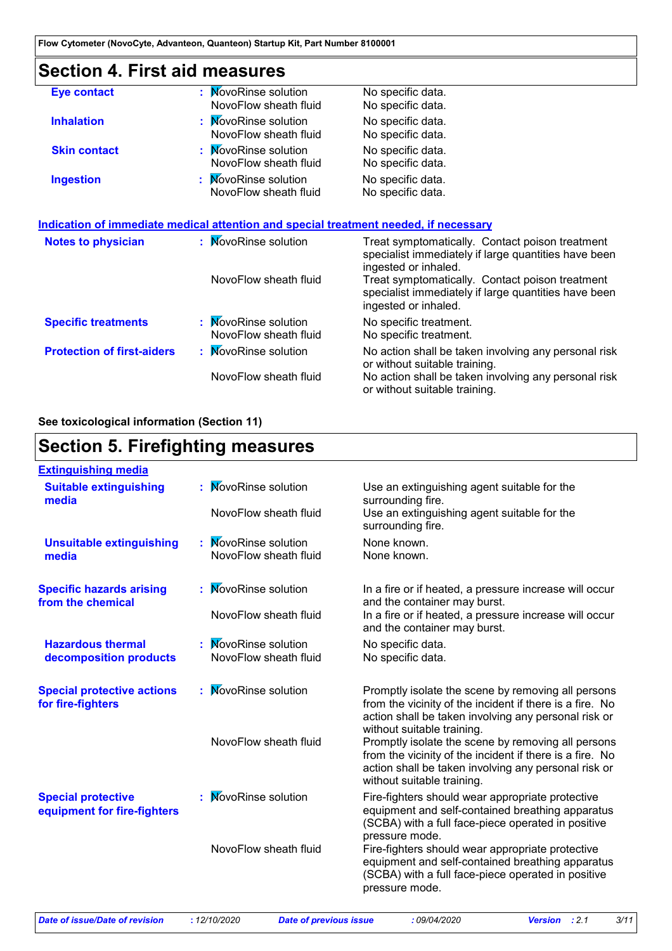# **Section 4. First aid measures**

| <b>Eye contact</b>                | : MovoRinse solution<br>NovoFlow sheath fluid                                        | No specific data.<br>No specific data.                                                                                          |
|-----------------------------------|--------------------------------------------------------------------------------------|---------------------------------------------------------------------------------------------------------------------------------|
| <b>Inhalation</b>                 | : MovoRinse solution<br>NovoFlow sheath fluid                                        | No specific data.<br>No specific data.                                                                                          |
| <b>Skin contact</b>               | : MovoRinse solution<br>NovoFlow sheath fluid                                        | No specific data.<br>No specific data.                                                                                          |
| <b>Ingestion</b>                  | : MovoRinse solution<br>NovoFlow sheath fluid                                        | No specific data.<br>No specific data.                                                                                          |
|                                   | Indication of immediate medical attention and special treatment needed, if necessary |                                                                                                                                 |
| <b>Notes to physician</b>         | : MovoRinse solution                                                                 | Treat symptomatically. Contact poison treatment<br>specialist immediately if large quantities have been<br>ingested or inhaled. |
|                                   | NovoFlow sheath fluid                                                                | Treat symptomatically. Contact poison treatment<br>specialist immediately if large quantities have been<br>ingested or inhaled. |
| <b>Specific treatments</b>        | : MovoRinse solution<br>NovoFlow sheath fluid                                        | No specific treatment.<br>No specific treatment.                                                                                |
| <b>Protection of first-aiders</b> | : MovoRinse solution                                                                 | No action shall be taken involving any personal risk<br>or without suitable training.                                           |
|                                   | NovoFlow sheath fluid                                                                | No action shall be taken involving any personal risk<br>or without suitable training.                                           |

#### **See toxicological information (Section 11)**

### **Section 5. Firefighting measures**

| <b>Extinguishing media</b>                               |                           |                                                                                                                                                                                                      |
|----------------------------------------------------------|---------------------------|------------------------------------------------------------------------------------------------------------------------------------------------------------------------------------------------------|
| <b>Suitable extinguishing</b><br>media                   | <b>NovoRinse solution</b> | Use an extinguishing agent suitable for the<br>surrounding fire.                                                                                                                                     |
|                                                          | NovoFlow sheath fluid     | Use an extinguishing agent suitable for the<br>surrounding fire.                                                                                                                                     |
| <b>Unsuitable extinguishing</b>                          | <b>NovoRinse solution</b> | None known.                                                                                                                                                                                          |
| media                                                    | NovoFlow sheath fluid     | None known.                                                                                                                                                                                          |
| <b>Specific hazards arising</b><br>from the chemical     | <b>NovoRinse solution</b> | In a fire or if heated, a pressure increase will occur<br>and the container may burst.                                                                                                               |
|                                                          | NovoFlow sheath fluid     | In a fire or if heated, a pressure increase will occur<br>and the container may burst.                                                                                                               |
| <b>Hazardous thermal</b>                                 | <b>NovoRinse solution</b> | No specific data.                                                                                                                                                                                    |
| decomposition products                                   | NovoFlow sheath fluid     | No specific data.                                                                                                                                                                                    |
| <b>Special protective actions</b><br>for fire-fighters   | <b>NovoRinse solution</b> | Promptly isolate the scene by removing all persons<br>from the vicinity of the incident if there is a fire. No<br>action shall be taken involving any personal risk or<br>without suitable training. |
|                                                          | NovoFlow sheath fluid     | Promptly isolate the scene by removing all persons<br>from the vicinity of the incident if there is a fire. No<br>action shall be taken involving any personal risk or<br>without suitable training. |
| <b>Special protective</b><br>equipment for fire-fighters | <b>NovoRinse solution</b> | Fire-fighters should wear appropriate protective<br>equipment and self-contained breathing apparatus<br>(SCBA) with a full face-piece operated in positive<br>pressure mode.                         |
|                                                          | NovoFlow sheath fluid     | Fire-fighters should wear appropriate protective<br>equipment and self-contained breathing apparatus<br>(SCBA) with a full face-piece operated in positive<br>pressure mode.                         |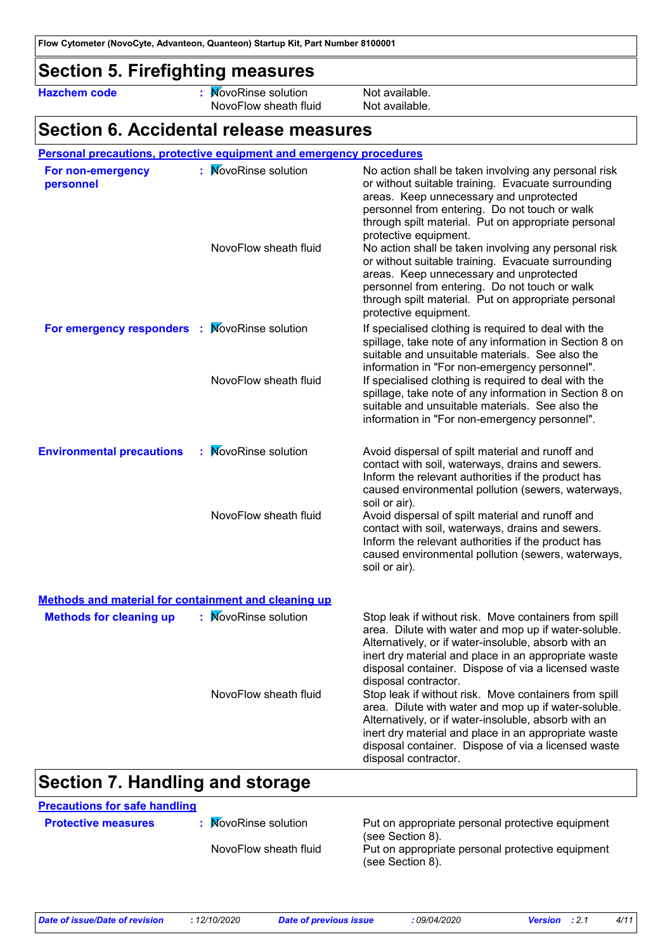### **Section 5. Firefighting measures**

**Hazchem code :** NovoRinse solution Not available. NovoFlow sheath fluid Not available.

### **Section 6. Accidental release measures**

#### **Personal precautions, protective equipment and emergency procedures**

| For non-emergency<br>personnel                              | : MovoRinse solution<br>NovoFlow sheath fluid | No action shall be taken involving any personal risk<br>or without suitable training. Evacuate surrounding<br>areas. Keep unnecessary and unprotected<br>personnel from entering. Do not touch or walk<br>through spilt material. Put on appropriate personal<br>protective equipment.<br>No action shall be taken involving any personal risk<br>or without suitable training. Evacuate surrounding<br>areas. Keep unnecessary and unprotected<br>personnel from entering. Do not touch or walk<br>through spilt material. Put on appropriate personal |
|-------------------------------------------------------------|-----------------------------------------------|---------------------------------------------------------------------------------------------------------------------------------------------------------------------------------------------------------------------------------------------------------------------------------------------------------------------------------------------------------------------------------------------------------------------------------------------------------------------------------------------------------------------------------------------------------|
| For emergency responders : MovoRinse solution               |                                               | protective equipment.<br>If specialised clothing is required to deal with the<br>spillage, take note of any information in Section 8 on<br>suitable and unsuitable materials. See also the<br>information in "For non-emergency personnel".                                                                                                                                                                                                                                                                                                             |
|                                                             | NovoFlow sheath fluid                         | If specialised clothing is required to deal with the<br>spillage, take note of any information in Section 8 on<br>suitable and unsuitable materials. See also the<br>information in "For non-emergency personnel".                                                                                                                                                                                                                                                                                                                                      |
| <b>Environmental precautions</b>                            | : MovoRinse solution                          | Avoid dispersal of spilt material and runoff and<br>contact with soil, waterways, drains and sewers.<br>Inform the relevant authorities if the product has<br>caused environmental pollution (sewers, waterways,<br>soil or air).                                                                                                                                                                                                                                                                                                                       |
|                                                             | NovoFlow sheath fluid                         | Avoid dispersal of spilt material and runoff and<br>contact with soil, waterways, drains and sewers.<br>Inform the relevant authorities if the product has<br>caused environmental pollution (sewers, waterways,<br>soil or air).                                                                                                                                                                                                                                                                                                                       |
| <b>Methods and material for containment and cleaning up</b> |                                               |                                                                                                                                                                                                                                                                                                                                                                                                                                                                                                                                                         |
| <b>Methods for cleaning up</b>                              | <b>NovoRinse solution</b>                     | Stop leak if without risk. Move containers from spill<br>area. Dilute with water and mop up if water-soluble.<br>Alternatively, or if water-insoluble, absorb with an<br>inert dry material and place in an appropriate waste<br>disposal container. Dispose of via a licensed waste<br>disposal contractor.                                                                                                                                                                                                                                            |
|                                                             | NovoFlow sheath fluid                         | Stop leak if without risk. Move containers from spill<br>area. Dilute with water and mop up if water-soluble.<br>Alternatively, or if water-insoluble, absorb with an<br>inert dry material and place in an appropriate waste<br>disposal container. Dispose of via a licensed waste<br>disposal contractor.                                                                                                                                                                                                                                            |

### **Section 7. Handling and storage**

**Precautions for safe handling**

**MovoRinse** solution

**Protective measures : NovoRinse solution Put on appropriate personal protective equipment** (see Section 8).

NovoFlow sheath fluid Put on appropriate personal protective equipment (see Section 8).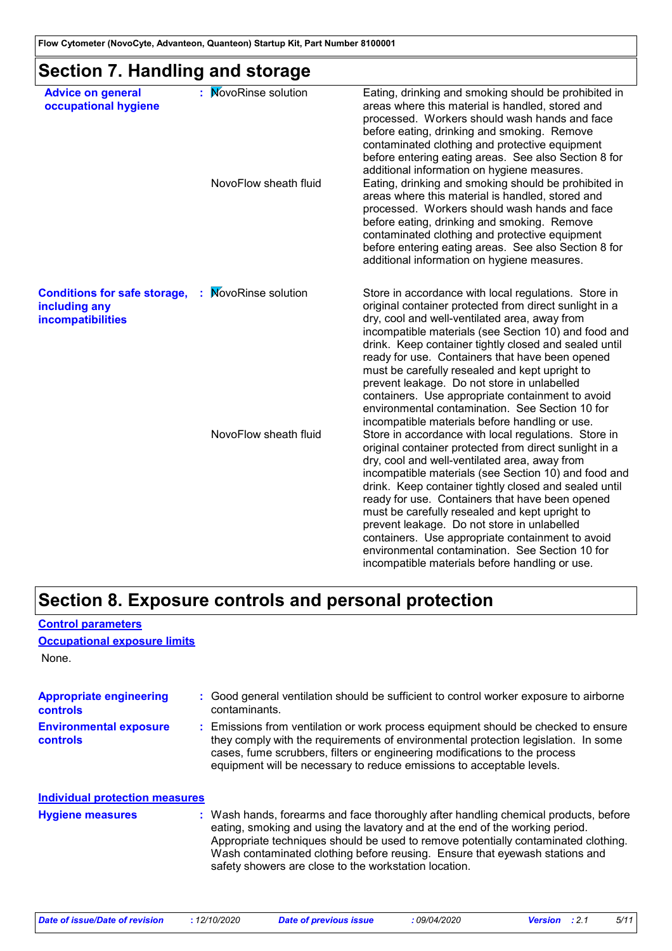### **Section 7. Handling and storage**

| <b>Advice on general</b>                                                  | : MovoRinse solution  | Eating, drinking and smoking should be prohibited in                                                                                                                                                                                                                                                                                                                                                                                                                                                                                                                                                                                                                           |
|---------------------------------------------------------------------------|-----------------------|--------------------------------------------------------------------------------------------------------------------------------------------------------------------------------------------------------------------------------------------------------------------------------------------------------------------------------------------------------------------------------------------------------------------------------------------------------------------------------------------------------------------------------------------------------------------------------------------------------------------------------------------------------------------------------|
| occupational hygiene                                                      | NovoFlow sheath fluid | areas where this material is handled, stored and<br>processed. Workers should wash hands and face<br>before eating, drinking and smoking. Remove<br>contaminated clothing and protective equipment<br>before entering eating areas. See also Section 8 for<br>additional information on hygiene measures.<br>Eating, drinking and smoking should be prohibited in<br>areas where this material is handled, stored and<br>processed. Workers should wash hands and face<br>before eating, drinking and smoking. Remove<br>contaminated clothing and protective equipment<br>before entering eating areas. See also Section 8 for<br>additional information on hygiene measures. |
| <b>Conditions for safe storage,</b><br>including any<br>incompatibilities | : MovoRinse solution  | Store in accordance with local regulations. Store in<br>original container protected from direct sunlight in a<br>dry, cool and well-ventilated area, away from<br>incompatible materials (see Section 10) and food and<br>drink. Keep container tightly closed and sealed until<br>ready for use. Containers that have been opened<br>must be carefully resealed and kept upright to<br>prevent leakage. Do not store in unlabelled<br>containers. Use appropriate containment to avoid<br>environmental contamination. See Section 10 for<br>incompatible materials before handling or use.                                                                                  |
|                                                                           | NovoFlow sheath fluid | Store in accordance with local regulations. Store in<br>original container protected from direct sunlight in a<br>dry, cool and well-ventilated area, away from<br>incompatible materials (see Section 10) and food and<br>drink. Keep container tightly closed and sealed until<br>ready for use. Containers that have been opened<br>must be carefully resealed and kept upright to<br>prevent leakage. Do not store in unlabelled<br>containers. Use appropriate containment to avoid<br>environmental contamination. See Section 10 for<br>incompatible materials before handling or use.                                                                                  |

### **Section 8. Exposure controls and personal protection**

None.

**Control parameters**

**Occupational exposure limits**

| <b>Appropriate engineering</b><br><b>controls</b> | : Good general ventilation should be sufficient to control worker exposure to airborne<br>contaminants.                                                                                                                                                                                                                                                                                           |
|---------------------------------------------------|---------------------------------------------------------------------------------------------------------------------------------------------------------------------------------------------------------------------------------------------------------------------------------------------------------------------------------------------------------------------------------------------------|
| <b>Environmental exposure</b><br>controls         | : Emissions from ventilation or work process equipment should be checked to ensure<br>they comply with the requirements of environmental protection legislation. In some<br>cases, fume scrubbers, filters or engineering modifications to the process<br>equipment will be necessary to reduce emissions to acceptable levels.                                                                   |
| <b>Individual protection measures</b>             |                                                                                                                                                                                                                                                                                                                                                                                                   |
| <b>Hygiene measures</b>                           | : Wash hands, forearms and face thoroughly after handling chemical products, before<br>eating, smoking and using the lavatory and at the end of the working period.<br>Appropriate techniques should be used to remove potentially contaminated clothing.<br>Wash contaminated clothing before reusing. Ensure that eyewash stations and<br>safety showers are close to the workstation location. |

| Date of issue/Date of revision | <i>12/10/2020</i> | Date of previous issue | : 09/04/2020 | <b>Version</b> : 2.1 | 5/11 |
|--------------------------------|-------------------|------------------------|--------------|----------------------|------|
|--------------------------------|-------------------|------------------------|--------------|----------------------|------|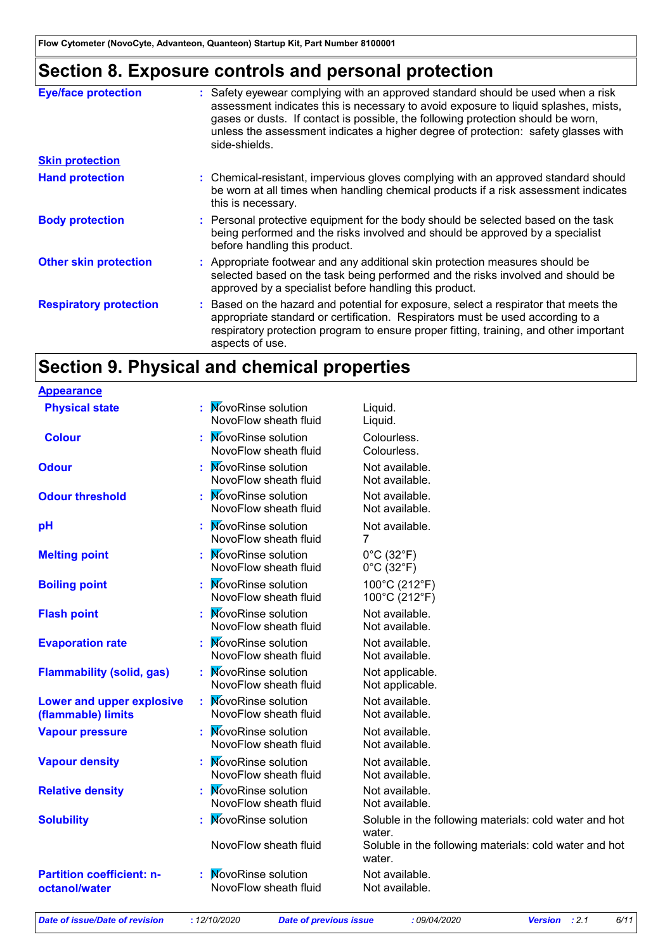### **Section 8. Exposure controls and personal protection**

| <b>Eye/face protection</b>    | Safety eyewear complying with an approved standard should be used when a risk<br>assessment indicates this is necessary to avoid exposure to liquid splashes, mists,<br>gases or dusts. If contact is possible, the following protection should be worn,<br>unless the assessment indicates a higher degree of protection: safety glasses with<br>side-shields. |
|-------------------------------|-----------------------------------------------------------------------------------------------------------------------------------------------------------------------------------------------------------------------------------------------------------------------------------------------------------------------------------------------------------------|
| <b>Skin protection</b>        |                                                                                                                                                                                                                                                                                                                                                                 |
| <b>Hand protection</b>        | : Chemical-resistant, impervious gloves complying with an approved standard should<br>be worn at all times when handling chemical products if a risk assessment indicates<br>this is necessary.                                                                                                                                                                 |
| <b>Body protection</b>        | : Personal protective equipment for the body should be selected based on the task<br>being performed and the risks involved and should be approved by a specialist<br>before handling this product.                                                                                                                                                             |
| <b>Other skin protection</b>  | : Appropriate footwear and any additional skin protection measures should be<br>selected based on the task being performed and the risks involved and should be<br>approved by a specialist before handling this product.                                                                                                                                       |
| <b>Respiratory protection</b> | : Based on the hazard and potential for exposure, select a respirator that meets the<br>appropriate standard or certification. Respirators must be used according to a<br>respiratory protection program to ensure proper fitting, training, and other important<br>aspects of use.                                                                             |

### **Section 9. Physical and chemical properties**

| <b>Appearance</b>                                 |                                                    |                                                                    |
|---------------------------------------------------|----------------------------------------------------|--------------------------------------------------------------------|
| <b>Physical state</b>                             | : MovoRinse solution<br>NovoFlow sheath fluid      | Liquid.<br>Liquid.                                                 |
| <b>Colour</b>                                     | : MovoRinse solution<br>NovoFlow sheath fluid      | Colourless.<br>Colourless.                                         |
| <b>Odour</b>                                      | : MovoRinse solution<br>NovoFlow sheath fluid      | Not available.<br>Not available.                                   |
| <b>Odour threshold</b>                            | : MovoRinse solution<br>NovoFlow sheath fluid      | Not available.<br>Not available.                                   |
| pH                                                | : MovoRinse solution<br>NovoFlow sheath fluid      | Not available.<br>7                                                |
| <b>Melting point</b>                              | : MovoRinse solution<br>NovoFlow sheath fluid      | $0^{\circ}$ C (32 $^{\circ}$ F)<br>$0^{\circ}$ C (32 $^{\circ}$ F) |
| <b>Boiling point</b>                              | : MovoRinse solution<br>NovoFlow sheath fluid      | 100°C (212°F)<br>100°C (212°F)                                     |
| <b>Flash point</b>                                | : MovoRinse solution<br>NovoFlow sheath fluid      | Not available.<br>Not available.                                   |
| <b>Evaporation rate</b>                           | : MovoRinse solution<br>NovoFlow sheath fluid      | Not available.<br>Not available.                                   |
| <b>Flammability (solid, gas)</b>                  | : MovoRinse solution<br>NovoFlow sheath fluid      | Not applicable.<br>Not applicable.                                 |
| Lower and upper explosive<br>(flammable) limits   | <b>NovoRinse solution</b><br>NovoFlow sheath fluid | Not available.<br>Not available.                                   |
| <b>Vapour pressure</b>                            | : MovoRinse solution<br>NovoFlow sheath fluid      | Not available.<br>Not available.                                   |
| <b>Vapour density</b>                             | : MovoRinse solution<br>NovoFlow sheath fluid      | Not available.<br>Not available.                                   |
| <b>Relative density</b>                           | : MovoRinse solution<br>NovoFlow sheath fluid      | Not available.<br>Not available.                                   |
| <b>Solubility</b>                                 | <b>NovoRinse solution</b>                          | Soluble in the following materials: cold water and hot<br>water.   |
|                                                   | NovoFlow sheath fluid                              | Soluble in the following materials: cold water and hot<br>water.   |
| <b>Partition coefficient: n-</b><br>octanol/water | : MovoRinse solution<br>NovoFlow sheath fluid      | Not available.<br>Not available.                                   |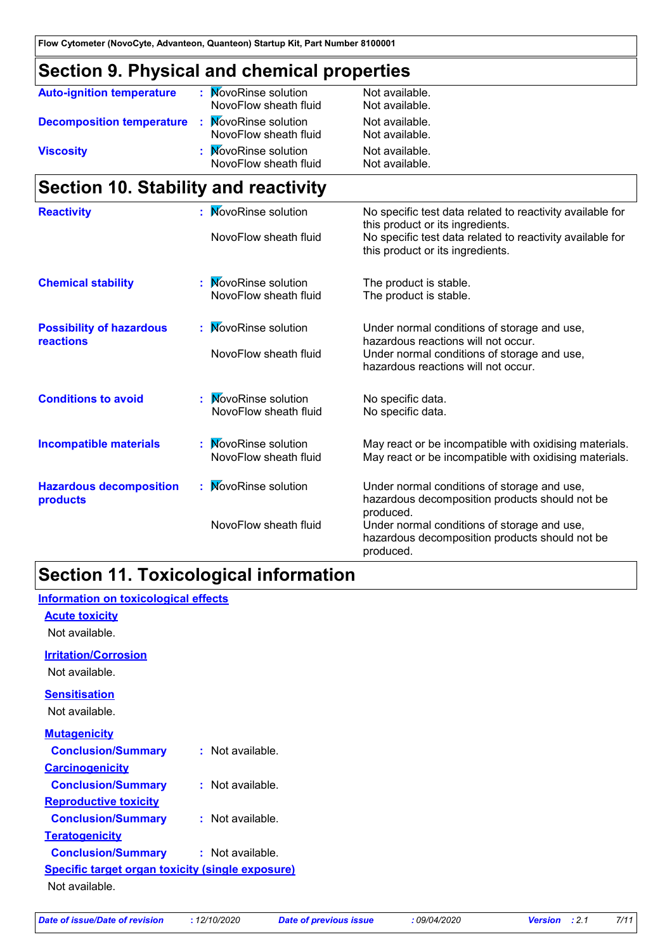# **Section 9. Physical and chemical properties**

| <b>Auto-ignition temperature</b> | <b>NovoRinse solution</b><br>NovoFlow sheath fluid | Not available.<br>Not available. |
|----------------------------------|----------------------------------------------------|----------------------------------|
| <b>Decomposition temperature</b> | <b>NovoRinse solution</b><br>NovoFlow sheath fluid | Not available.<br>Not available. |
| <b>Viscosity</b>                 | <b>NovoRinse solution</b><br>NovoFlow sheath fluid | Not available.<br>Not available. |

### **Section 10. Stability and reactivity**

| No specific test data related to reactivity available for |
|-----------------------------------------------------------|
|                                                           |
| No specific test data related to reactivity available for |
|                                                           |
|                                                           |
|                                                           |
| Under normal conditions of storage and use,               |
|                                                           |
| Under normal conditions of storage and use,               |
|                                                           |
|                                                           |
|                                                           |
| May react or be incompatible with oxidising materials.    |
| May react or be incompatible with oxidising materials.    |
| Under normal conditions of storage and use,               |
| hazardous decomposition products should not be            |
| Under normal conditions of storage and use,               |
| hazardous decomposition products should not be            |
|                                                           |

### **Section 11. Toxicological information**

| Information on toxicological effects             |                  |  |
|--------------------------------------------------|------------------|--|
| <b>Acute toxicity</b>                            |                  |  |
| Not available.                                   |                  |  |
| <b>Irritation/Corrosion</b>                      |                  |  |
| Not available.                                   |                  |  |
| <b>Sensitisation</b>                             |                  |  |
| Not available.                                   |                  |  |
| <b>Mutagenicity</b>                              |                  |  |
| <b>Conclusion/Summary</b>                        | : Not available. |  |
| <b>Carcinogenicity</b>                           |                  |  |
| <b>Conclusion/Summary</b>                        | : Not available. |  |
| <b>Reproductive toxicity</b>                     |                  |  |
| <b>Conclusion/Summary</b>                        | : Not available. |  |
| <b>Teratogenicity</b>                            |                  |  |
| <b>Conclusion/Summary</b>                        | : Not available. |  |
| Specific target organ toxicity (single exposure) |                  |  |
| Not available.                                   |                  |  |
|                                                  |                  |  |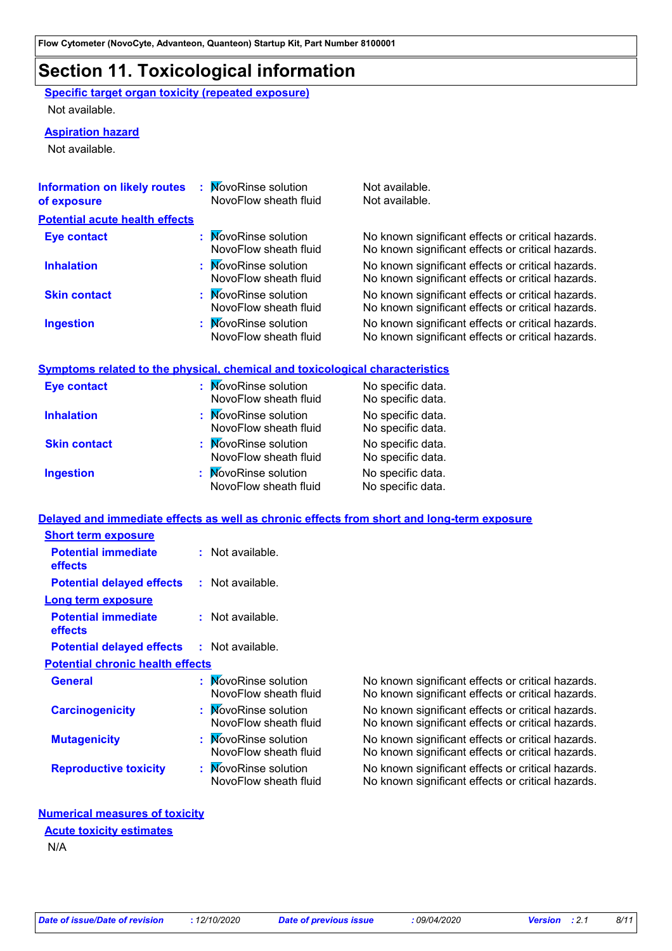### **Section 11. Toxicological information**

**Specific target organ toxicity (repeated exposure)** Not available.

#### **Aspiration hazard**

Not available.

| <b>Information on likely routes</b><br>of exposure | <b>NovoRinse solution</b><br>NovoFlow sheath fluid | Not available.<br>Not available.                                                                       |
|----------------------------------------------------|----------------------------------------------------|--------------------------------------------------------------------------------------------------------|
| <b>Potential acute health effects</b>              |                                                    |                                                                                                        |
| <b>Eye contact</b>                                 | : MovoRinse solution<br>NovoFlow sheath fluid      | No known significant effects or critical hazards.<br>No known significant effects or critical hazards. |
| <b>Inhalation</b>                                  | : MovoRinse solution<br>NovoFlow sheath fluid      | No known significant effects or critical hazards.<br>No known significant effects or critical hazards. |
| <b>Skin contact</b>                                | : MovoRinse solution<br>NovoFlow sheath fluid      | No known significant effects or critical hazards.<br>No known significant effects or critical hazards. |
| <b>Ingestion</b>                                   | : MovoRinse solution<br>NovoFlow sheath fluid      | No known significant effects or critical hazards.<br>No known significant effects or critical hazards. |

#### **Symptoms related to the physical, chemical and toxicological characteristics**

| <b>Eye contact</b>  | : MovoRinse solution<br>NovoFlow sheath fluid | No specific data.<br>No specific data. |
|---------------------|-----------------------------------------------|----------------------------------------|
| <b>Inhalation</b>   | : MovoRinse solution<br>NovoFlow sheath fluid | No specific data.<br>No specific data. |
| <b>Skin contact</b> | : MovoRinse solution<br>NovoFlow sheath fluid | No specific data.<br>No specific data. |
| <b>Ingestion</b>    | : MovoRinse solution<br>NovoFlow sheath fluid | No specific data.<br>No specific data. |

#### **Delayed and immediate effects as well as chronic effects from short and long-term exposure**

| <b>Short term exposure</b>              |                                               |                                                                                                        |
|-----------------------------------------|-----------------------------------------------|--------------------------------------------------------------------------------------------------------|
| <b>Potential immediate</b><br>effects   | $:$ Not available.                            |                                                                                                        |
| <b>Potential delayed effects</b>        | $:$ Not available.                            |                                                                                                        |
| Long term exposure                      |                                               |                                                                                                        |
| <b>Potential immediate</b><br>effects   | $:$ Not available.                            |                                                                                                        |
| <b>Potential delayed effects</b>        | $:$ Not available.                            |                                                                                                        |
| <b>Potential chronic health effects</b> |                                               |                                                                                                        |
| <b>General</b>                          | : MovoRinse solution<br>NovoFlow sheath fluid | No known significant effects or critical hazards.<br>No known significant effects or critical hazards. |
| <b>Carcinogenicity</b>                  | : MovoRinse solution<br>NovoFlow sheath fluid | No known significant effects or critical hazards.<br>No known significant effects or critical hazards. |
| <b>Mutagenicity</b>                     | : MovoRinse solution<br>NovoFlow sheath fluid | No known significant effects or critical hazards.<br>No known significant effects or critical hazards. |
| <b>Reproductive toxicity</b>            | : MovoRinse solution<br>NovoFlow sheath fluid | No known significant effects or critical hazards.<br>No known significant effects or critical hazards. |

#### **Numerical measures of toxicity**

#### **Acute toxicity estimates**

N/A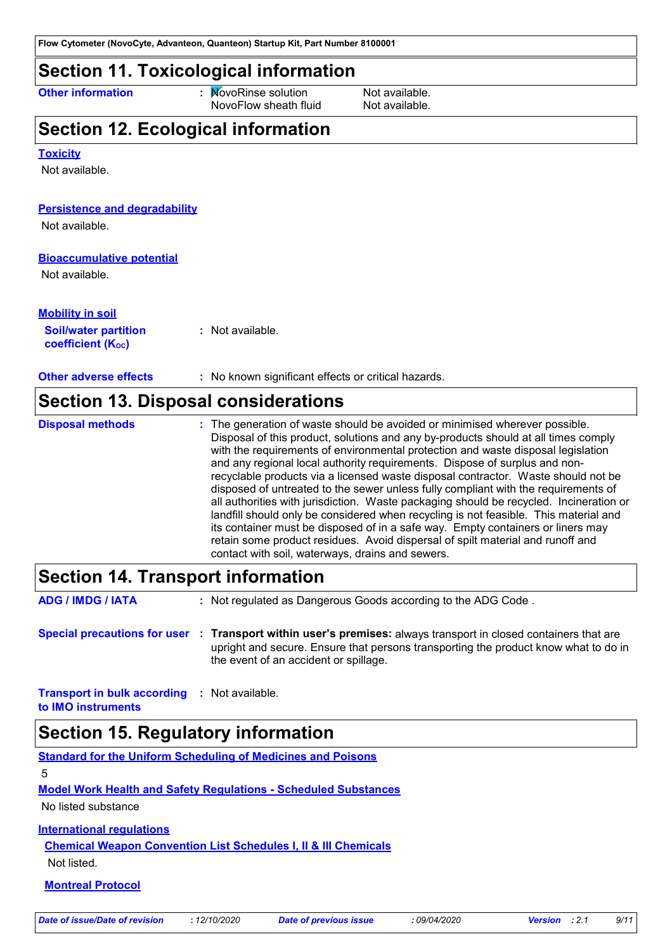### **Section 11. Toxicological information**

**Other information :** NovoRinse solution Not available. NovoFlow sheath fluid Not available.

# **Section 12. Ecological information**

**Bioaccumulative potential Other adverse effects** : No known significant effects or critical hazards. Not available. **Toxicity** Not available. **Persistence and degradability Soil/water partition coefficient (KOC) :** Not available. **Mobility in soil** Not available. **Section 13. Disposal considerations** The generation of waste should be avoided or minimised wherever possible. Disposal of this product, solutions and any by-products should at all times comply with the requirements of environmental protection and waste disposal legislation and any regional local authority requirements. Dispose of surplus and nonrecyclable products via a licensed waste disposal contractor. Waste should not be disposed of untreated to the sewer unless fully compliant with the requirements of **Disposal methods :**

all authorities with jurisdiction. Waste packaging should be recycled. Incineration or landfill should only be considered when recycling is not feasible. This material and its container must be disposed of in a safe way. Empty containers or liners may retain some product residues. Avoid dispersal of spilt material and runoff and contact with soil, waterways, drains and sewers.

### **Section 14. Transport information**

| <b>ADG / IMDG / IATA</b>                            | : Not regulated as Dangerous Goods according to the ADG Code.                                                                                                                                                                                   |
|-----------------------------------------------------|-------------------------------------------------------------------------------------------------------------------------------------------------------------------------------------------------------------------------------------------------|
|                                                     | Special precautions for user : Transport within user's premises: always transport in closed containers that are<br>upright and secure. Ensure that persons transporting the product know what to do in<br>the event of an accident or spillage. |
| <b>Transport in bulk according : Not available.</b> |                                                                                                                                                                                                                                                 |

**to IMO instruments**

### **Section 15. Regulatory information**

**Standard for the Uniform Scheduling of Medicines and Poisons** 5

**Model Work Health and Safety Regulations - Scheduled Substances**

No listed substance

#### **International regulations**

**Chemical Weapon Convention List Schedules I, II & III Chemicals** Not listed.

#### **Montreal Protocol**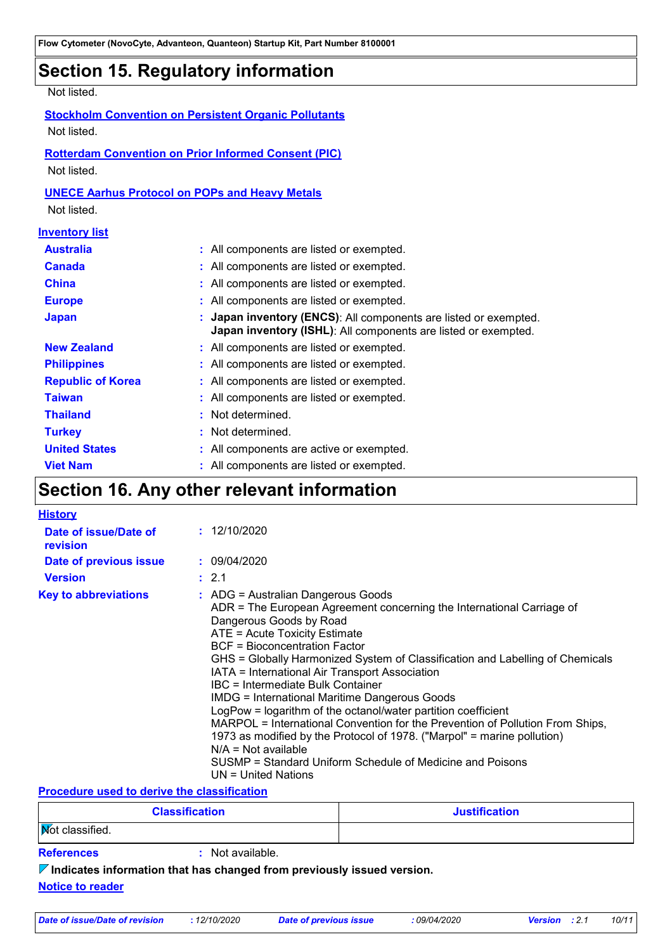### **Section 15. Regulatory information**

#### Not listed.

#### **Stockholm Convention on Persistent Organic Pollutants**

Not listed.

#### **Rotterdam Convention on Prior Informed Consent (PIC)**

Not listed.

#### **UNECE Aarhus Protocol on POPs and Heavy Metals**

Not listed.

#### **Inventory list**

| <b>Australia</b>         | : All components are listed or exempted.                                                                                           |
|--------------------------|------------------------------------------------------------------------------------------------------------------------------------|
| <b>Canada</b>            | : All components are listed or exempted.                                                                                           |
| <b>China</b>             | : All components are listed or exempted.                                                                                           |
| <b>Europe</b>            | : All components are listed or exempted.                                                                                           |
| <b>Japan</b>             | : Japan inventory (ENCS): All components are listed or exempted.<br>Japan inventory (ISHL): All components are listed or exempted. |
| <b>New Zealand</b>       | : All components are listed or exempted.                                                                                           |
| <b>Philippines</b>       | : All components are listed or exempted.                                                                                           |
| <b>Republic of Korea</b> | : All components are listed or exempted.                                                                                           |
| <b>Taiwan</b>            | : All components are listed or exempted.                                                                                           |
| <b>Thailand</b>          | : Not determined.                                                                                                                  |
| <b>Turkey</b>            | : Not determined.                                                                                                                  |
| <b>United States</b>     | : All components are active or exempted.                                                                                           |
| <b>Viet Nam</b>          | : All components are listed or exempted.                                                                                           |

### **Section 16. Any other relevant information**

| <b>History</b>                    |                                                                                                                                                                                                                                                                                                                                                                                                                                                                                                                                                                                                                                                                                                                                                                                                      |
|-----------------------------------|------------------------------------------------------------------------------------------------------------------------------------------------------------------------------------------------------------------------------------------------------------------------------------------------------------------------------------------------------------------------------------------------------------------------------------------------------------------------------------------------------------------------------------------------------------------------------------------------------------------------------------------------------------------------------------------------------------------------------------------------------------------------------------------------------|
| Date of issue/Date of<br>revision | : 12/10/2020                                                                                                                                                                                                                                                                                                                                                                                                                                                                                                                                                                                                                                                                                                                                                                                         |
| Date of previous issue            | : 09/04/2020                                                                                                                                                                                                                                                                                                                                                                                                                                                                                                                                                                                                                                                                                                                                                                                         |
| <b>Version</b>                    | : 2.1                                                                                                                                                                                                                                                                                                                                                                                                                                                                                                                                                                                                                                                                                                                                                                                                |
| <b>Key to abbreviations</b>       | $\therefore$ ADG = Australian Dangerous Goods<br>ADR = The European Agreement concerning the International Carriage of<br>Dangerous Goods by Road<br>ATE = Acute Toxicity Estimate<br><b>BCF</b> = Bioconcentration Factor<br>GHS = Globally Harmonized System of Classification and Labelling of Chemicals<br>IATA = International Air Transport Association<br>IBC = Intermediate Bulk Container<br><b>IMDG = International Maritime Dangerous Goods</b><br>LogPow = logarithm of the octanol/water partition coefficient<br>MARPOL = International Convention for the Prevention of Pollution From Ships,<br>1973 as modified by the Protocol of 1978. ("Marpol" = marine pollution)<br>$N/A = Not available$<br>SUSMP = Standard Uniform Schedule of Medicine and Poisons<br>UN = United Nations |

#### **Procedure used to derive the classification**

| <b>Classification</b>                                                           |                  | <b>Justification</b> |  |  |
|---------------------------------------------------------------------------------|------------------|----------------------|--|--|
| <b>Not classified.</b>                                                          |                  |                      |  |  |
| <b>References</b>                                                               | : Not available. |                      |  |  |
| $\nabla$ Indicates information that has changed from previously issued version. |                  |                      |  |  |
| <b>Notice to reader</b>                                                         |                  |                      |  |  |
|                                                                                 |                  |                      |  |  |